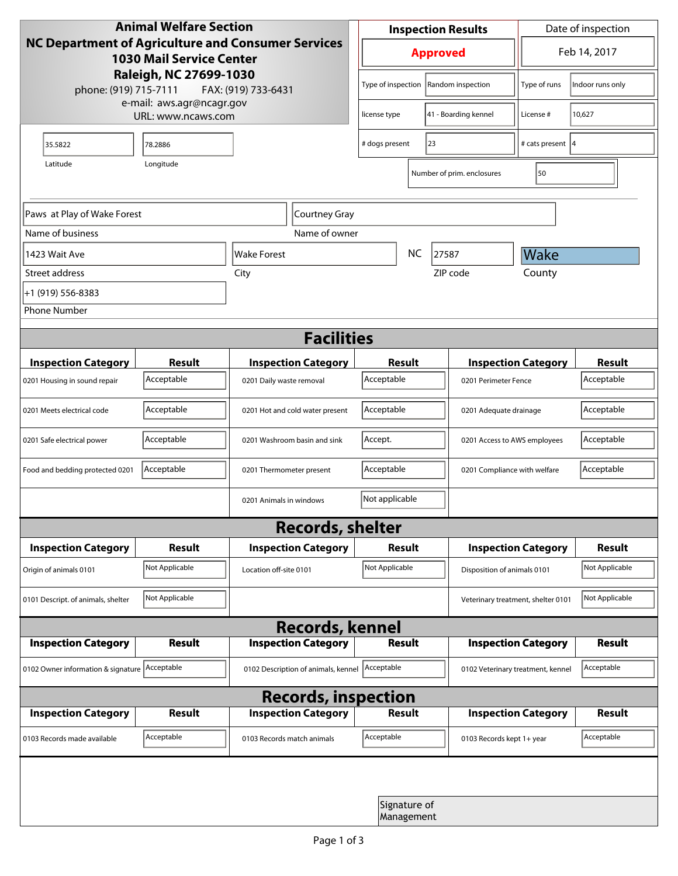| <b>Animal Welfare Section</b><br>NC Department of Agriculture and Consumer Services<br><b>1030 Mail Service Center</b><br>Raleigh, NC 27699-1030<br>phone: (919) 715-7111<br>FAX: (919) 733-6431 |                |                                     | <b>Inspection Results</b>               |                            |                                    | Date of inspection          |                |  |  |
|--------------------------------------------------------------------------------------------------------------------------------------------------------------------------------------------------|----------------|-------------------------------------|-----------------------------------------|----------------------------|------------------------------------|-----------------------------|----------------|--|--|
|                                                                                                                                                                                                  |                |                                     | <b>Approved</b>                         |                            |                                    | Feb 14, 2017                |                |  |  |
|                                                                                                                                                                                                  |                |                                     | Type of inspection<br>Random inspection |                            | Type of runs                       | Indoor runs only            |                |  |  |
| e-mail: aws.agr@ncagr.gov<br>URL: www.ncaws.com                                                                                                                                                  |                |                                     | 41 - Boarding kennel<br>license type    |                            |                                    | License #                   | 10,627         |  |  |
| 35.5822                                                                                                                                                                                          | 78.2886        |                                     | 23<br># dogs present                    |                            | # cats present  4                  |                             |                |  |  |
| Latitude                                                                                                                                                                                         |                | 50<br>Number of prim. enclosures    |                                         |                            |                                    |                             |                |  |  |
| Paws at Play of Wake Forest                                                                                                                                                                      |                | Courtney Gray                       |                                         |                            |                                    |                             |                |  |  |
| Name of business                                                                                                                                                                                 |                | Name of owner                       |                                         |                            |                                    |                             |                |  |  |
| 1423 Wait Ave                                                                                                                                                                                    |                | lWake Forest                        | <b>NC</b><br>27587                      |                            |                                    | Wake                        |                |  |  |
| Street address                                                                                                                                                                                   |                | City                                |                                         |                            | ZIP code                           | County                      |                |  |  |
| +1 (919) 556-8383                                                                                                                                                                                |                |                                     |                                         |                            |                                    |                             |                |  |  |
| <b>Phone Number</b>                                                                                                                                                                              |                |                                     |                                         |                            |                                    |                             |                |  |  |
| <b>Facilities</b>                                                                                                                                                                                |                |                                     |                                         |                            |                                    |                             |                |  |  |
| <b>Inspection Category</b>                                                                                                                                                                       | <b>Result</b>  | <b>Inspection Category</b>          | Result                                  |                            |                                    | <b>Inspection Category</b>  | <b>Result</b>  |  |  |
| 0201 Housing in sound repair                                                                                                                                                                     | Acceptable     | 0201 Daily waste removal            | Acceptable                              |                            | 0201 Perimeter Fence               |                             | Acceptable     |  |  |
| 0201 Meets electrical code                                                                                                                                                                       | Acceptable     | 0201 Hot and cold water present     | Acceptable                              |                            | 0201 Adequate drainage             |                             | Acceptable     |  |  |
| 0201 Safe electrical power                                                                                                                                                                       | Acceptable     | 0201 Washroom basin and sink        | Accept.<br>0201 Access to AWS employees |                            |                                    | Acceptable                  |                |  |  |
| Food and bedding protected 0201                                                                                                                                                                  | Acceptable     | 0201 Thermometer present            | Acceptable                              |                            | 0201 Compliance with welfare       |                             | Acceptable     |  |  |
|                                                                                                                                                                                                  |                | 0201 Animals in windows             | Not applicable                          |                            |                                    |                             |                |  |  |
|                                                                                                                                                                                                  |                | <b>Records, shelter</b>             |                                         |                            |                                    |                             |                |  |  |
| <b>Inspection Category</b>                                                                                                                                                                       | Result         | <b>Inspection Category</b>          | <b>Result</b>                           |                            |                                    | <b>Inspection Category</b>  | <b>Result</b>  |  |  |
| Origin of animals 0101                                                                                                                                                                           | Not Applicable | Location off-site 0101              | Not Applicable                          |                            |                                    | Disposition of animals 0101 |                |  |  |
| 0101 Descript. of animals, shelter                                                                                                                                                               | Not Applicable |                                     |                                         |                            | Veterinary treatment, shelter 0101 |                             | Not Applicable |  |  |
| <b>Records, kennel</b>                                                                                                                                                                           |                |                                     |                                         |                            |                                    |                             |                |  |  |
| <b>Inspection Category</b>                                                                                                                                                                       | <b>Result</b>  | <b>Inspection Category</b>          | <b>Result</b>                           |                            |                                    | <b>Inspection Category</b>  | <b>Result</b>  |  |  |
| 0102 Owner information & signature Acceptable                                                                                                                                                    |                | 0102 Description of animals, kennel | Acceptable                              |                            | 0102 Veterinary treatment, kennel  |                             | Acceptable     |  |  |
| <b>Records, inspection</b>                                                                                                                                                                       |                |                                     |                                         |                            |                                    |                             |                |  |  |
| <b>Inspection Category</b>                                                                                                                                                                       | <b>Result</b>  | <b>Inspection Category</b>          | Result                                  |                            |                                    | <b>Inspection Category</b>  | <b>Result</b>  |  |  |
| 0103 Records made available                                                                                                                                                                      | Acceptable     | 0103 Records match animals          | Acceptable                              |                            | 0103 Records kept 1+ year          |                             | Acceptable     |  |  |
|                                                                                                                                                                                                  |                |                                     |                                         |                            |                                    |                             |                |  |  |
|                                                                                                                                                                                                  |                |                                     |                                         | Signature of<br>Management |                                    |                             |                |  |  |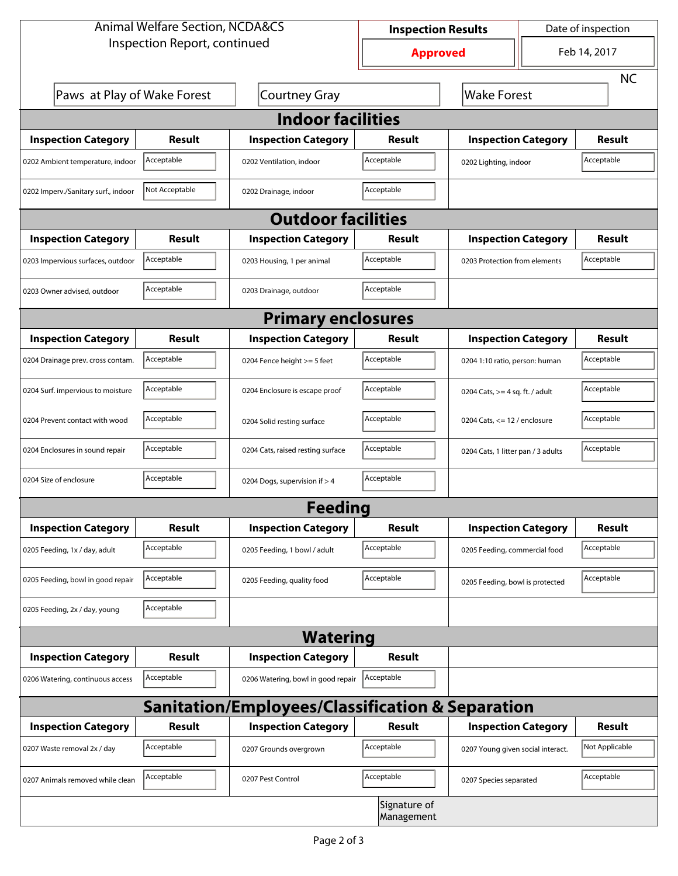| <b>Animal Welfare Section, NCDA&amp;CS</b>       |                |                                    | <b>Inspection Results</b> |                                     | Date of inspection         |                |  |  |
|--------------------------------------------------|----------------|------------------------------------|---------------------------|-------------------------------------|----------------------------|----------------|--|--|
| Inspection Report, continued                     |                |                                    | <b>Approved</b>           |                                     | Feb 14, 2017               |                |  |  |
|                                                  |                |                                    |                           |                                     |                            | <b>NC</b>      |  |  |
| Paws at Play of Wake Forest                      |                | <b>Courtney Gray</b>               |                           | <b>Wake Forest</b>                  |                            |                |  |  |
| <b>Indoor facilities</b>                         |                |                                    |                           |                                     |                            |                |  |  |
| <b>Inspection Category</b>                       | Result         | <b>Inspection Category</b>         | Result                    |                                     | <b>Inspection Category</b> | <b>Result</b>  |  |  |
| 0202 Ambient temperature, indoor                 | Acceptable     | 0202 Ventilation, indoor           | Acceptable                | Acceptable<br>0202 Lighting, indoor |                            |                |  |  |
| 0202 Imperv./Sanitary surf., indoor              | Not Acceptable | 0202 Drainage, indoor              | Acceptable                |                                     |                            |                |  |  |
| <b>Outdoor facilities</b>                        |                |                                    |                           |                                     |                            |                |  |  |
| <b>Inspection Category</b>                       | Result         | <b>Inspection Category</b>         | Result                    | <b>Inspection Category</b>          |                            | <b>Result</b>  |  |  |
| 0203 Impervious surfaces, outdoor                | Acceptable     | 0203 Housing, 1 per animal         | Acceptable                | 0203 Protection from elements       |                            | Acceptable     |  |  |
| 0203 Owner advised, outdoor                      | Acceptable     | 0203 Drainage, outdoor             | Acceptable                |                                     |                            |                |  |  |
| <b>Primary enclosures</b>                        |                |                                    |                           |                                     |                            |                |  |  |
| <b>Inspection Category</b>                       | Result         | <b>Inspection Category</b>         | Result                    |                                     | <b>Inspection Category</b> | <b>Result</b>  |  |  |
| 0204 Drainage prev. cross contam.                | Acceptable     | 0204 Fence height >= 5 feet        | Acceptable                | 0204 1:10 ratio, person: human      |                            | Acceptable     |  |  |
| 0204 Surf. impervious to moisture                | Acceptable     | 0204 Enclosure is escape proof     | Acceptable                | 0204 Cats, $>=$ 4 sq. ft. / adult   |                            | Acceptable     |  |  |
| 0204 Prevent contact with wood                   | Acceptable     | 0204 Solid resting surface         | Acceptable                | 0204 Cats, $<= 12$ / enclosure      |                            | Acceptable     |  |  |
| 0204 Enclosures in sound repair                  | Acceptable     | 0204 Cats, raised resting surface  | Acceptable                | 0204 Cats, 1 litter pan / 3 adults  |                            | Acceptable     |  |  |
| 0204 Size of enclosure                           | Acceptable     | 0204 Dogs, supervision if > 4      | Acceptable                |                                     |                            |                |  |  |
|                                                  |                | <b>Feeding</b>                     |                           |                                     |                            |                |  |  |
| <b>Inspection Category</b>                       | Result         | <b>Inspection Category</b>         | Result                    |                                     | <b>Inspection Category</b> | Result         |  |  |
| 0205 Feeding, 1x / day, adult                    | Acceptable     | 0205 Feeding, 1 bowl / adult       | Acceptable                | 0205 Feeding, commercial food       |                            | Acceptable     |  |  |
| 0205 Feeding, bowl in good repair                | Acceptable     | 0205 Feeding, quality food         | Acceptable                | 0205 Feeding, bowl is protected     |                            | Acceptable     |  |  |
| 0205 Feeding, 2x / day, young                    | Acceptable     |                                    |                           |                                     |                            |                |  |  |
| <b>Watering</b>                                  |                |                                    |                           |                                     |                            |                |  |  |
| <b>Inspection Category</b>                       | <b>Result</b>  | <b>Inspection Category</b>         | Result                    |                                     |                            |                |  |  |
| 0206 Watering, continuous access                 | Acceptable     | 0206 Watering, bowl in good repair | Acceptable                |                                     |                            |                |  |  |
| Sanitation/Employees/Classification & Separation |                |                                    |                           |                                     |                            |                |  |  |
| <b>Inspection Category</b>                       | <b>Result</b>  | <b>Inspection Category</b>         | Result                    |                                     | <b>Inspection Category</b> | <b>Result</b>  |  |  |
| 0207 Waste removal 2x / day                      | Acceptable     | 0207 Grounds overgrown             | Acceptable                | 0207 Young given social interact.   |                            | Not Applicable |  |  |
| 0207 Animals removed while clean                 | Acceptable     | 0207 Pest Control                  | Acceptable                | 0207 Species separated              |                            | Acceptable     |  |  |
| Signature of<br>Management                       |                |                                    |                           |                                     |                            |                |  |  |